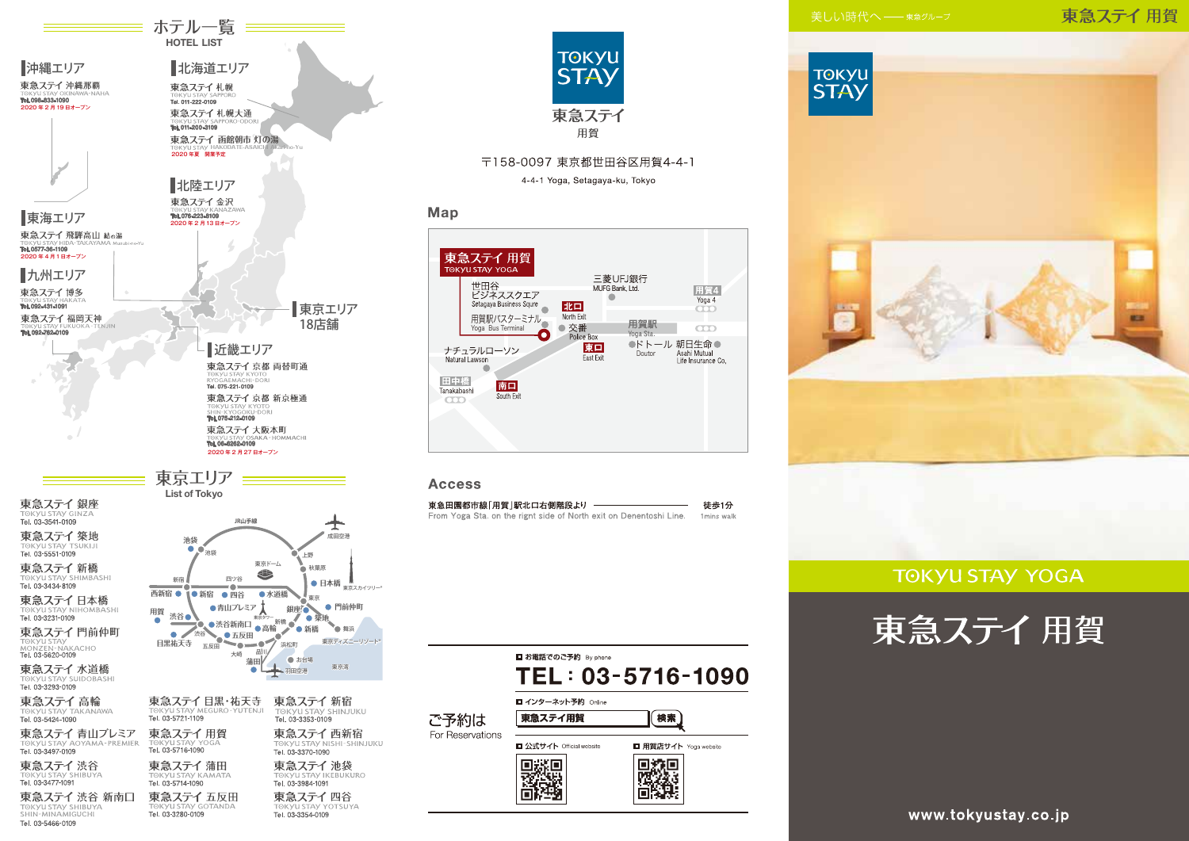### 東急ステイ用賀





### **TOKYU STAY YOGA**





Tel. 03-3280-0109

Tel. 03-3354-0109

**≡ ホテル一覧 ==== HOTEL LIST** 

北海道エリア

東急ステイ札幌大通

東急ステイ 函館朝市 灯の湯

東急ステイ札幌

Tel. 011-222-0109

TORYUSIAY SA

2020年夏 開業予定

北陸エリア 東急ステイ金沢

■沖縄エリア

2020年2月19日オープン

Tel. 098-833-1090

東急ステイ 沖縄那覇

TOKYU STAY SHIBUYA

Tel. 03-5466-0109

**MALLA** 



〒158-0097 東京都世田谷区用賀4-4-1 4-4-1 Yoga, Setagaya-ku, Tokyo

### Map

東急ステイ 用賀 **TOKYU STAY YOGA** 三菱UFJ銀行 世田谷<br>ビジネススクエア MUFG Bank. I td. 用賀4  $\blacksquare$ Yoga 4 Setagaya Business Squre 北口  $\overline{\text{CO}}$ North Exit 用賀駅バスターミナル 用賀駅 Yoga Bus Terminal ● 交番  $\overline{\text{CD}}$ Police Box ●ドトール 朝日生命● 東口 ナチュラルローソン Asahi Mutual Doutor **Fast Exit** Natural Lawson Life Insurance Co.  $\qquad \qquad \bullet$ 田中橋 南口 Tanakahashi South Exit  $\overline{\text{co}}$ 

### **Access**

| 東急田園都市線「用賀 駅北口右側階段より                                               | 徒歩1分       |
|--------------------------------------------------------------------|------------|
| From Yoga Sta, on the right side of North exit on Denentoshi Line. | 1mins walk |

■お電話でのご予約 By phone TEL: 03-5716-1090 ■ インターネット予約 Online 検索 ご予約は 東急ステイ用賀 For Reservations ■ 公式サイト Official website ■ 用賀店サイト Yoga website ■※第 D教授<br>国教院

www.tokyustay.co.jp